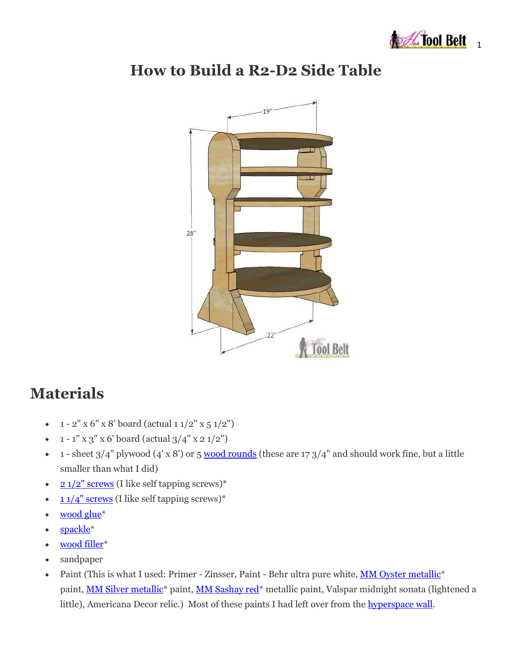

#### **How to Build a R2-D2 Side Table**



## **Materials**

- $1 2'' \times 6'' \times 8'$  board (actual  $11/2'' \times 51/2'$ )
- $1 1$ " x 3" x 6' board (actual  $3/4$ " x 2  $1/2$ ")
- $\bullet$  1 sheet 3/4" plywood (4' x 8') or 5 <u>[wood rounds](http://www.homedepot.com/p/Edge-Glued-Round-Common-1-in-x-17-3-4-in-Actual-1-0-in-x-17-75-in-680435/202017011)</u> (these are 17 3/4" and should work fine, but a little smaller than what I did)
- $21/2$ " screws (I like self tapping screws)\*
- $11/4$ " screws (I like self tapping screws)\*
- [wood glue\\*](http://amzn.to/1Ue2m8Q)
- [spackle\\*](http://amzn.to/1PqS0yb)
- [wood filler\\*](http://amzn.to/1PqS0yb)
- sandpaper
- Paint (This is what I used: Primer Zinsser, Paint Behr ultra pure white, MM Oyster metallic<sup>\*</sup> paint, MM Silver metallic<sup>\*</sup> paint, MM Sashay red<sup>\*</sup> metallic paint, Valspar midnight sonata (lightened a little), Americana Decor relic.) Most of these paints I had left over from the **hyperspace wall**.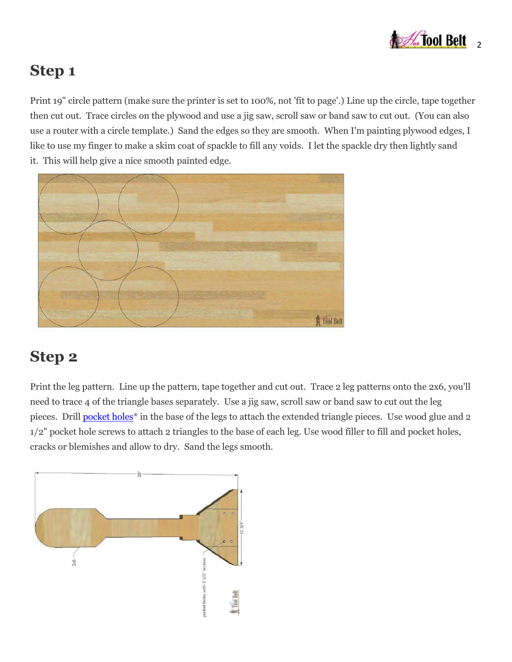

### **Step 1**

Print 19" circle pattern (make sure the printer is set to 100%, not 'fit to page'.) Line up the circle, tape together then cut out. Trace circles on the plywood and use a jig saw, scroll saw or band saw to cut out. (You can also use a router with a circle template.) Sand the edges so they are smooth. When I'm painting plywood edges, I like to use my finger to make a skim coat of spackle to fill any voids. I let the spackle dry then lightly sand [it. This will help give a nice smooth painted edge.](http://www.hertoolbelt.com/wp-content/uploads/2016/01/circle-cut-diagram.jpg)



#### **Step 2**

Print the leg pattern. Line up the pattern, tape together and cut out. Trace 2 leg patterns onto the 2x6, you'll need to trace 4 of the triangle bases separately. Use a jig saw, scroll saw or band saw to cut out the leg pieces. Drill pocket holes<sup>\*</sup> in the base of the legs to attach the extended triangle pieces. Use wood glue and 2 1/2" pocket hole screws to attach 2 triangles to the base of each leg. Use wood filler to fill and pocket holes, cracks or blemishes and allow to dry. Sand the legs smooth.

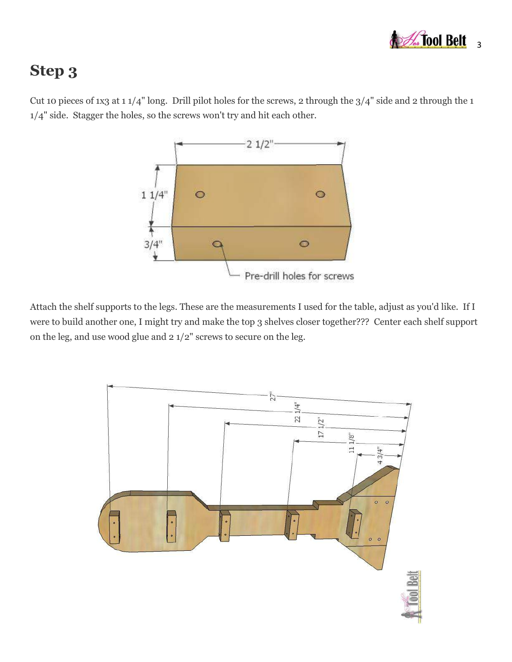

## **Step 3**

Cut 10 pieces of 1x3 at 1 1/4" long. Drill pilot holes for the screws, 2 through the 3/4" side and 2 through the 1 1/4" side. Stagger the holes, so the screws won't try and hit each other.



Attach the shelf supports to the legs. These are the measurements I used for the table, adjust as you'd like. If I were to build another one, I might try and make the top 3 shelves closer together??? Center each shelf support on the leg, and use wood glue and 2 1/2" screws to secure on the leg.

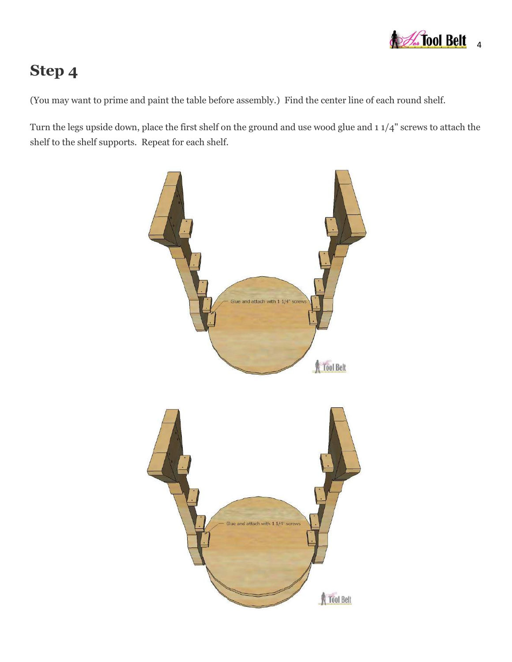

## **Step 4**

(You may want to prime and paint the table before assembly.) Find the center line of each round shelf.

Turn the legs upside down, place the first shelf on the ground and use wood glue and 1 1/4" screws to attach the shelf to the shelf supports. Repeat for each shelf.

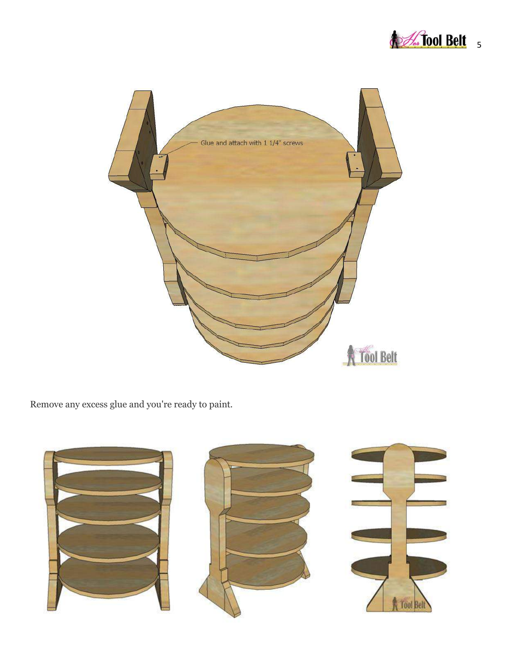



Remove any excess glue and you're ready to paint.

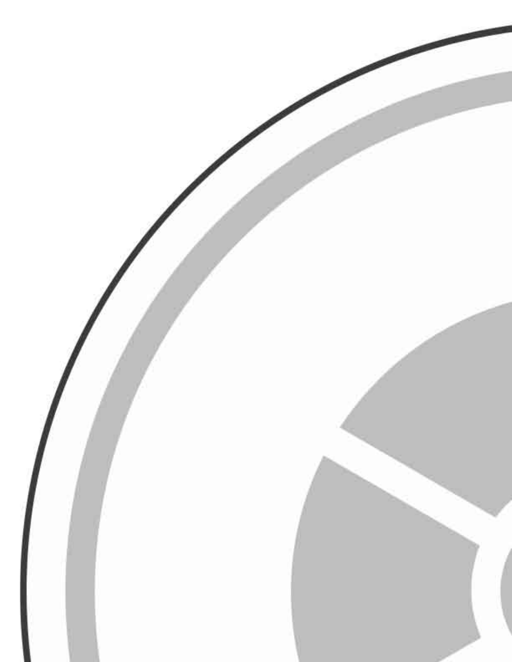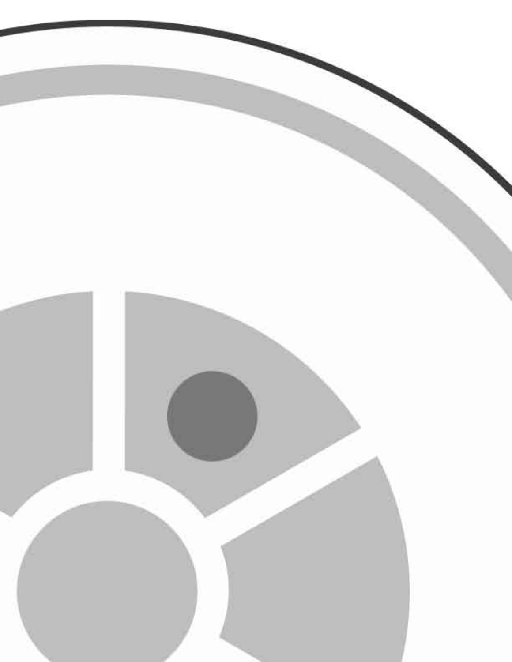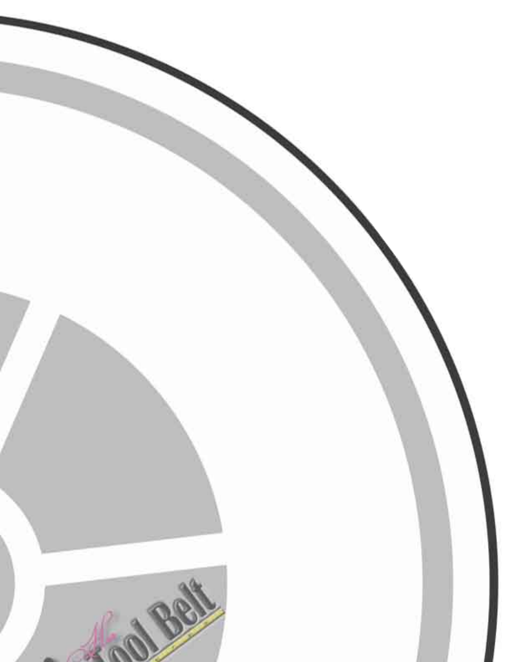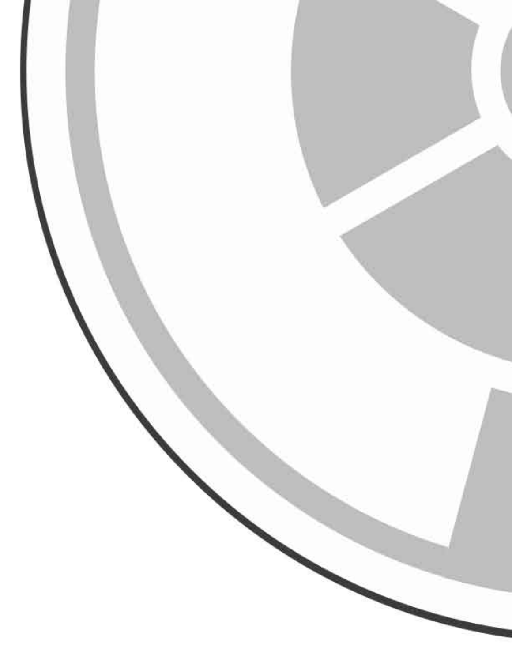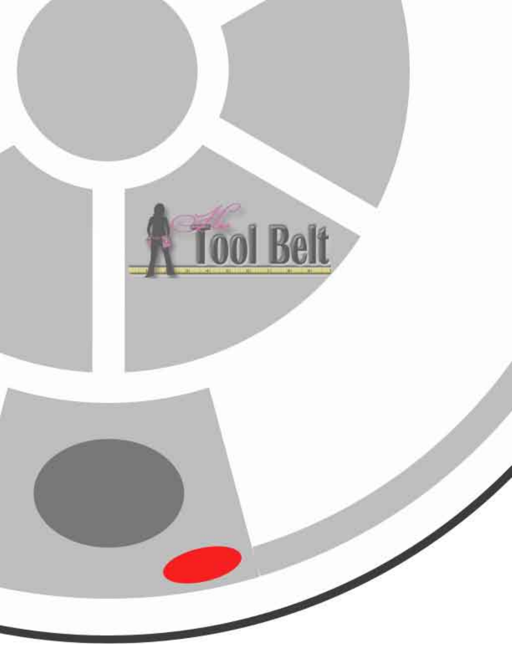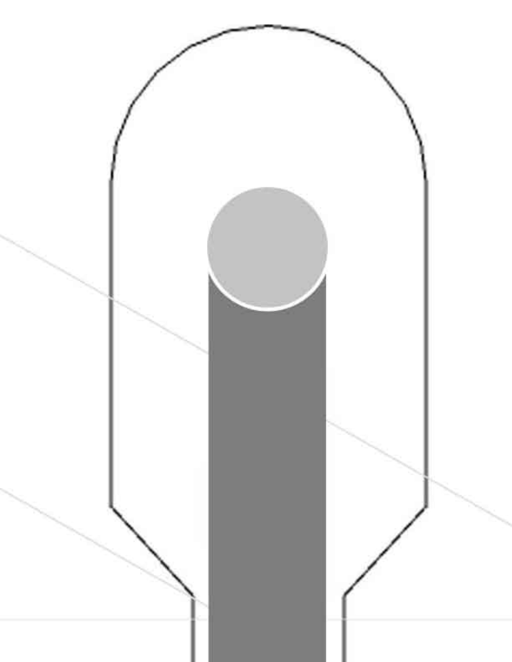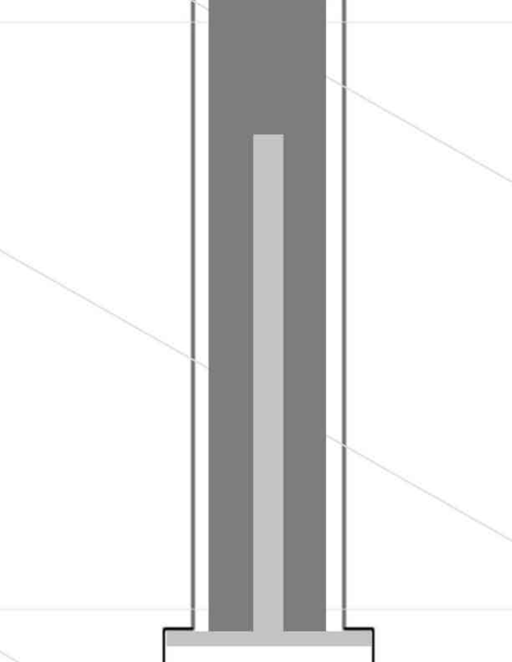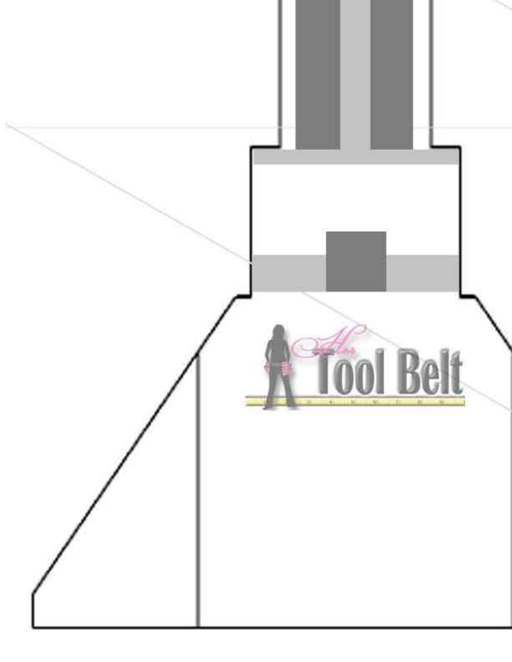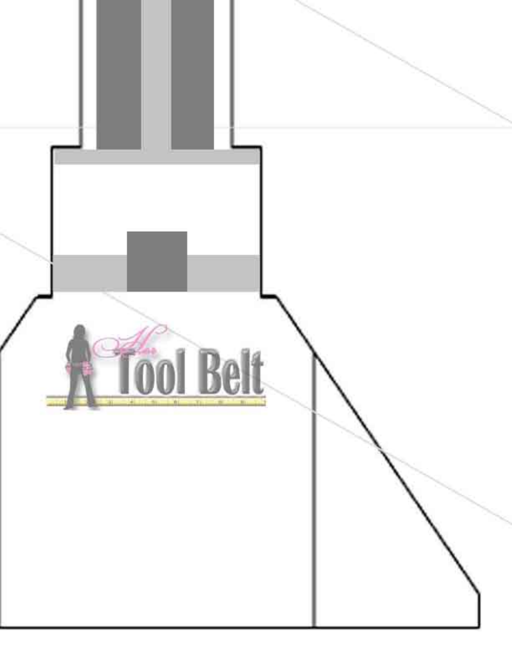